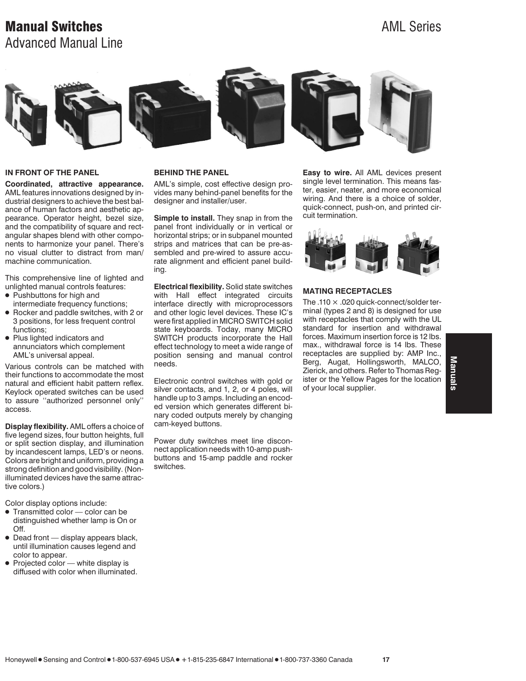# **Manual Switches** AML Series AML Series Advanced Manual Line



### **IN FRONT OF THE PANEL**

**Coordinated, attractive appearance.** AML features innovations designed by industrial designers to achieve the best balance of human factors and aesthetic appearance. Operator height, bezel size, and the compatibility of square and rectangular shapes blend with other components to harmonize your panel. There's no visual clutter to distract from man/ machine communication.

This comprehensive line of lighted and unlighted manual controls features:

- Pushbuttons for high and
- intermediate frequency functions; 1 Rocker and paddle switches, with 2 or
- 3 positions, for less frequent control functions;
- Plus lighted indicators and annunciators which complement AML's universal appeal.

Various controls can be matched with their functions to accommodate the most natural and efficient habit pattern reflex. Keylock operated switches can be used to assure ''authorized personnel only'' access.

**Display flexibility.** AML offers a choice of five legend sizes, four button heights, full or split section display, and illumination by incandescent lamps, LED's or neons. Colors are bright and uniform, providing a strong definition and good visibility. (Nonilluminated devices have the same attractive colors.)

Color display options include:

- Transmitted color color can be distinguished whether lamp is On or Off.
- $\bullet$  Dead front display appears black, until illumination causes legend and color to appear.
- Projected color white display is diffused with color when illuminated.

#### **BEHIND THE PANEL**

AML's simple, cost effective design provides many behind-panel benefits for the designer and installer/user.

**Simple to install.** They snap in from the panel front individually or in vertical or horizontal strips; or in subpanel mounted strips and matrices that can be pre-assembled and pre-wired to assure accurate alignment and efficient panel building.

**Electrical flexibility.** Solid state switches with Hall effect integrated circuits interface directly with microprocessors and other logic level devices. These IC's were first applied in MICRO SWITCH solid state keyboards. Today, many MICRO SWITCH products incorporate the Hall effect technology to meet a wide range of position sensing and manual control needs.

Electronic control switches with gold or silver contacts, and 1, 2, or 4 poles, will handle up to 3 amps. Including an encoded version which generates different binary coded outputs merely by changing cam-keyed buttons.

Power duty switches meet line disconnect application needs with 10-amp pushbuttons and 15-amp paddle and rocker switches.

**Easy to wire.** All AML devices present single level termination. This means faster, easier, neater, and more economical wiring. And there is a choice of solder, quick-connect, push-on, and printed circuit termination.



#### **MATING RECEPTACLES**

The .110  $\times$  .020 quick-connect/solder terminal (types 2 and 8) is designed for use with receptacles that comply with the UL standard for insertion and withdrawal forces. Maximum insertion force is 12 lbs. max., withdrawal force is 14 lbs. These receptacles are supplied by: AMP Inc., Berg, Augat, Hollingsworth, MALCO, Zierick, and others. Refer to Thomas Register or the Yellow Pages for the location of your local supplier.

Manuals **Manuals**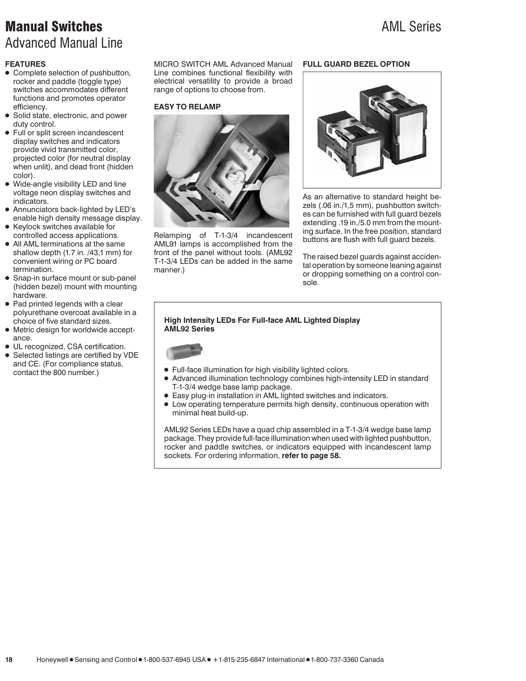# **Manual Switches** AML Series AML Series Advanced Manual Line

## **FEATURES**

- Complete selection of pushbutton, rocker and paddle (toggle type) switches accommodates different functions and promotes operator efficiency.
- Solid state, electronic, and power duty control.
- Full or split screen incandescent display switches and indicators provide vivid transmitted color, projected color (for neutral display when unlit), and dead front (hidden color).
- Wide-angle visibility LED and line voltage neon display switches and indicators.
- Annunciators back-lighted by LED's enable high density message display.
- 1 Keylock switches available for controlled access applications.
- All AML terminations at the same shallow depth (1.7 in. /43,1 mm) for convenient wiring or PC board termination.
- Snap-in surface mount or sub-panel (hidden bezel) mount with mounting hardware.
- Pad printed legends with a clear polyurethane overcoat available in a choice of five standard sizes.
- Metric design for worldwide acceptance.
- UL recognized, CSA certification.
- Selected listings are certified by VDE and CE. (For compliance status, contact the 800 number.)

MICRO SWITCH AML Advanced Manual Line combines functional flexibility with electrical versatility to provide a broad range of options to choose from.

## **EASY TO RELAMP**



Relamping of T-1-3/4 incandescent AML91 lamps is accomplished from the front of the panel without tools. (AML92 T-1-3/4 LEDs can be added in the same manner.)

### **FULL GUARD BEZEL OPTION**



As an alternative to standard height bezels (.06 in./1,5 mm), pushbutton switches can be furnished with full guard bezels extending .19 in./5.0 mm from the mounting surface. In the free position, standard buttons are flush with full guard bezels.

The raised bezel guards against accidental operation by someone leaning against or dropping something on a control console.

#### **High Intensity LEDs For Full-face AML Lighted Display AML92 Series**



- Full-face illumination for high visibility lighted colors.
- Advanced illumination technology combines high-intensity LED in standard T-1-3/4 wedge base lamp package.
- 1 Easy plug-in installation in AML lighted switches and indicators.
- Low operating temperature permits high density, continuous operation with minimal heat build-up.

AML92 Series LEDs have a quad chip assembled in a T-1-3/4 wedge base lamp package. They provide full-face illumination when used with lighted pushbutton, rocker and paddle switches, or indicators equipped with incandescent lamp sockets. For ordering information, **refer to page 58.**